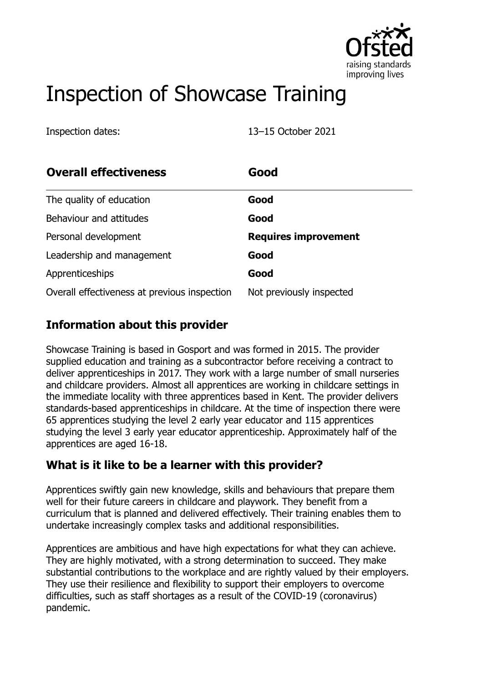

# Inspection of Showcase Training

Inspection dates: 13–15 October 2021

| <b>Overall effectiveness</b>                 | Good                        |
|----------------------------------------------|-----------------------------|
| The quality of education                     | Good                        |
| Behaviour and attitudes                      | Good                        |
| Personal development                         | <b>Requires improvement</b> |
| Leadership and management                    | Good                        |
| Apprenticeships                              | Good                        |
| Overall effectiveness at previous inspection | Not previously inspected    |

### **Information about this provider**

Showcase Training is based in Gosport and was formed in 2015. The provider supplied education and training as a subcontractor before receiving a contract to deliver apprenticeships in 2017. They work with a large number of small nurseries and childcare providers. Almost all apprentices are working in childcare settings in the immediate locality with three apprentices based in Kent. The provider delivers standards-based apprenticeships in childcare. At the time of inspection there were 65 apprentices studying the level 2 early year educator and 115 apprentices studying the level 3 early year educator apprenticeship. Approximately half of the apprentices are aged 16-18.

#### **What is it like to be a learner with this provider?**

Apprentices swiftly gain new knowledge, skills and behaviours that prepare them well for their future careers in childcare and playwork. They benefit from a curriculum that is planned and delivered effectively. Their training enables them to undertake increasingly complex tasks and additional responsibilities.

Apprentices are ambitious and have high expectations for what they can achieve. They are highly motivated, with a strong determination to succeed. They make substantial contributions to the workplace and are rightly valued by their employers. They use their resilience and flexibility to support their employers to overcome difficulties, such as staff shortages as a result of the COVID-19 (coronavirus) pandemic.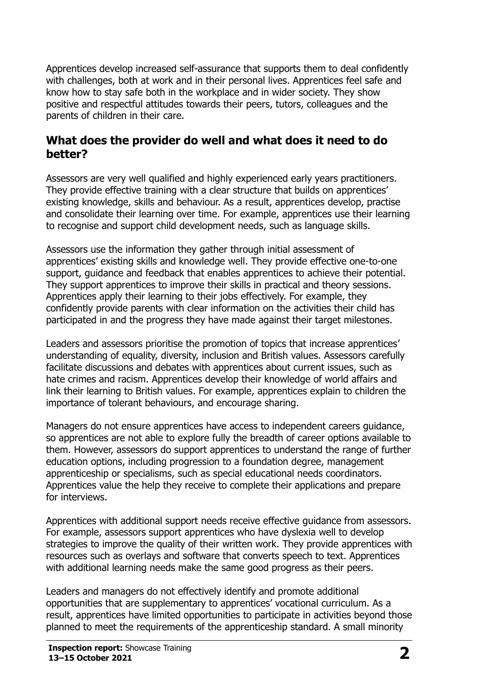Apprentices develop increased self-assurance that supports them to deal confidently with challenges, both at work and in their personal lives. Apprentices feel safe and know how to stay safe both in the workplace and in wider society. They show positive and respectful attitudes towards their peers, tutors, colleagues and the parents of children in their care.

### **What does the provider do well and what does it need to do better?**

Assessors are very well qualified and highly experienced early years practitioners. They provide effective training with a clear structure that builds on apprentices' existing knowledge, skills and behaviour. As a result, apprentices develop, practise and consolidate their learning over time. For example, apprentices use their learning to recognise and support child development needs, such as language skills.

Assessors use the information they gather through initial assessment of apprentices' existing skills and knowledge well. They provide effective one-to-one support, guidance and feedback that enables apprentices to achieve their potential. They support apprentices to improve their skills in practical and theory sessions. Apprentices apply their learning to their jobs effectively. For example, they confidently provide parents with clear information on the activities their child has participated in and the progress they have made against their target milestones.

Leaders and assessors prioritise the promotion of topics that increase apprentices' understanding of equality, diversity, inclusion and British values. Assessors carefully facilitate discussions and debates with apprentices about current issues, such as hate crimes and racism. Apprentices develop their knowledge of world affairs and link their learning to British values. For example, apprentices explain to children the importance of tolerant behaviours, and encourage sharing.

Managers do not ensure apprentices have access to independent careers guidance, so apprentices are not able to explore fully the breadth of career options available to them. However, assessors do support apprentices to understand the range of further education options, including progression to a foundation degree, management apprenticeship or specialisms, such as special educational needs coordinators. Apprentices value the help they receive to complete their applications and prepare for interviews.

Apprentices with additional support needs receive effective guidance from assessors. For example, assessors support apprentices who have dyslexia well to develop strategies to improve the quality of their written work. They provide apprentices with resources such as overlays and software that converts speech to text. Apprentices with additional learning needs make the same good progress as their peers.

Leaders and managers do not effectively identify and promote additional opportunities that are supplementary to apprentices' vocational curriculum. As a result, apprentices have limited opportunities to participate in activities beyond those planned to meet the requirements of the apprenticeship standard. A small minority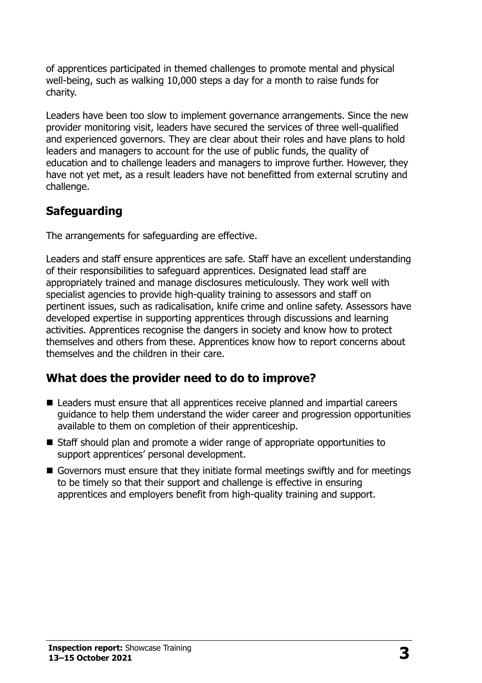of apprentices participated in themed challenges to promote mental and physical well-being, such as walking 10,000 steps a day for a month to raise funds for charity.

Leaders have been too slow to implement governance arrangements. Since the new provider monitoring visit, leaders have secured the services of three well-qualified and experienced governors. They are clear about their roles and have plans to hold leaders and managers to account for the use of public funds, the quality of education and to challenge leaders and managers to improve further. However, they have not yet met, as a result leaders have not benefitted from external scrutiny and challenge.

# **Safeguarding**

The arrangements for safeguarding are effective.

Leaders and staff ensure apprentices are safe. Staff have an excellent understanding of their responsibilities to safeguard apprentices. Designated lead staff are appropriately trained and manage disclosures meticulously. They work well with specialist agencies to provide high-quality training to assessors and staff on pertinent issues, such as radicalisation, knife crime and online safety. Assessors have developed expertise in supporting apprentices through discussions and learning activities. Apprentices recognise the dangers in society and know how to protect themselves and others from these. Apprentices know how to report concerns about themselves and the children in their care.

# **What does the provider need to do to improve?**

- Leaders must ensure that all apprentices receive planned and impartial careers guidance to help them understand the wider career and progression opportunities available to them on completion of their apprenticeship.
- Staff should plan and promote a wider range of appropriate opportunities to support apprentices' personal development.
- Governors must ensure that they initiate formal meetings swiftly and for meetings to be timely so that their support and challenge is effective in ensuring apprentices and employers benefit from high-quality training and support.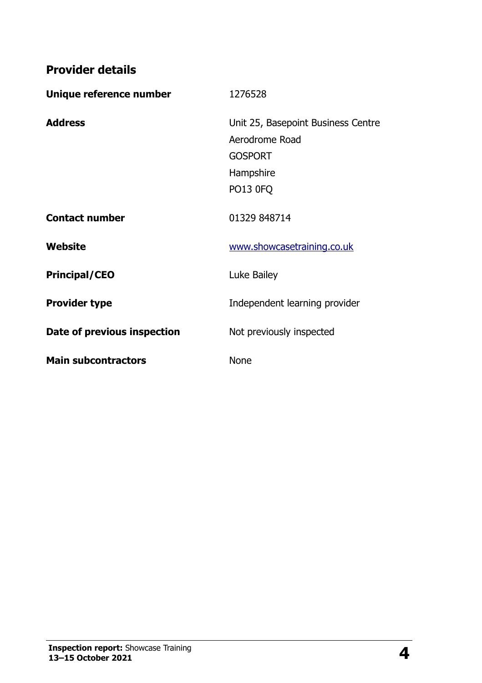**Provider details**

| Unique reference number     | 1276528                            |
|-----------------------------|------------------------------------|
| <b>Address</b>              | Unit 25, Basepoint Business Centre |
|                             | Aerodrome Road                     |
|                             | <b>GOSPORT</b>                     |
|                             | Hampshire                          |
|                             | <b>PO13 0FQ</b>                    |
| <b>Contact number</b>       | 01329 848714                       |
| Website                     | www.showcasetraining.co.uk         |
| <b>Principal/CEO</b>        | Luke Bailey                        |
| <b>Provider type</b>        | Independent learning provider      |
| Date of previous inspection | Not previously inspected           |
| <b>Main subcontractors</b>  | <b>None</b>                        |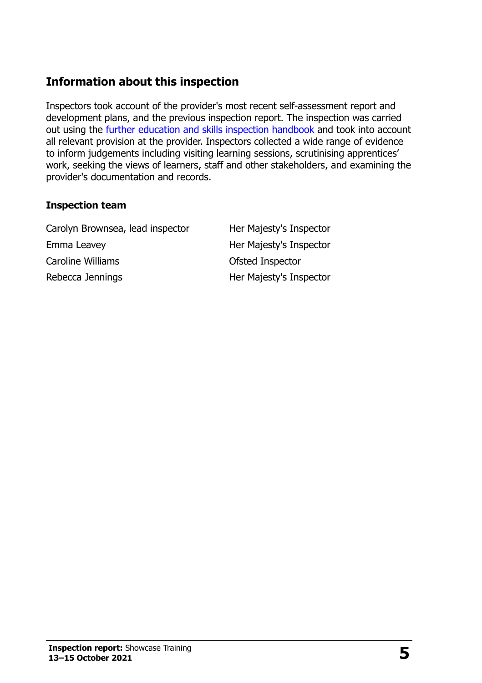# **Information about this inspection**

Inspectors took account of the provider's most recent self-assessment report and development plans, and the previous inspection report. The inspection was carried out using the [further education and skills inspection handbook](http://www.gov.uk/government/publications/further-education-and-skills-inspection-handbook-eif) and took into account all relevant provision at the provider. Inspectors collected a wide range of evidence to inform judgements including visiting learning sessions, scrutinising apprentices' work, seeking the views of learners, staff and other stakeholders, and examining the provider's documentation and records.

#### **Inspection team**

Carolyn Brownsea, lead inspector Her Majesty's Inspector Emma Leavey **Her Majesty's Inspector** Caroline Williams **Caroline Williams** Caroline Williams Rebecca Jennings **Her Majesty's Inspector**